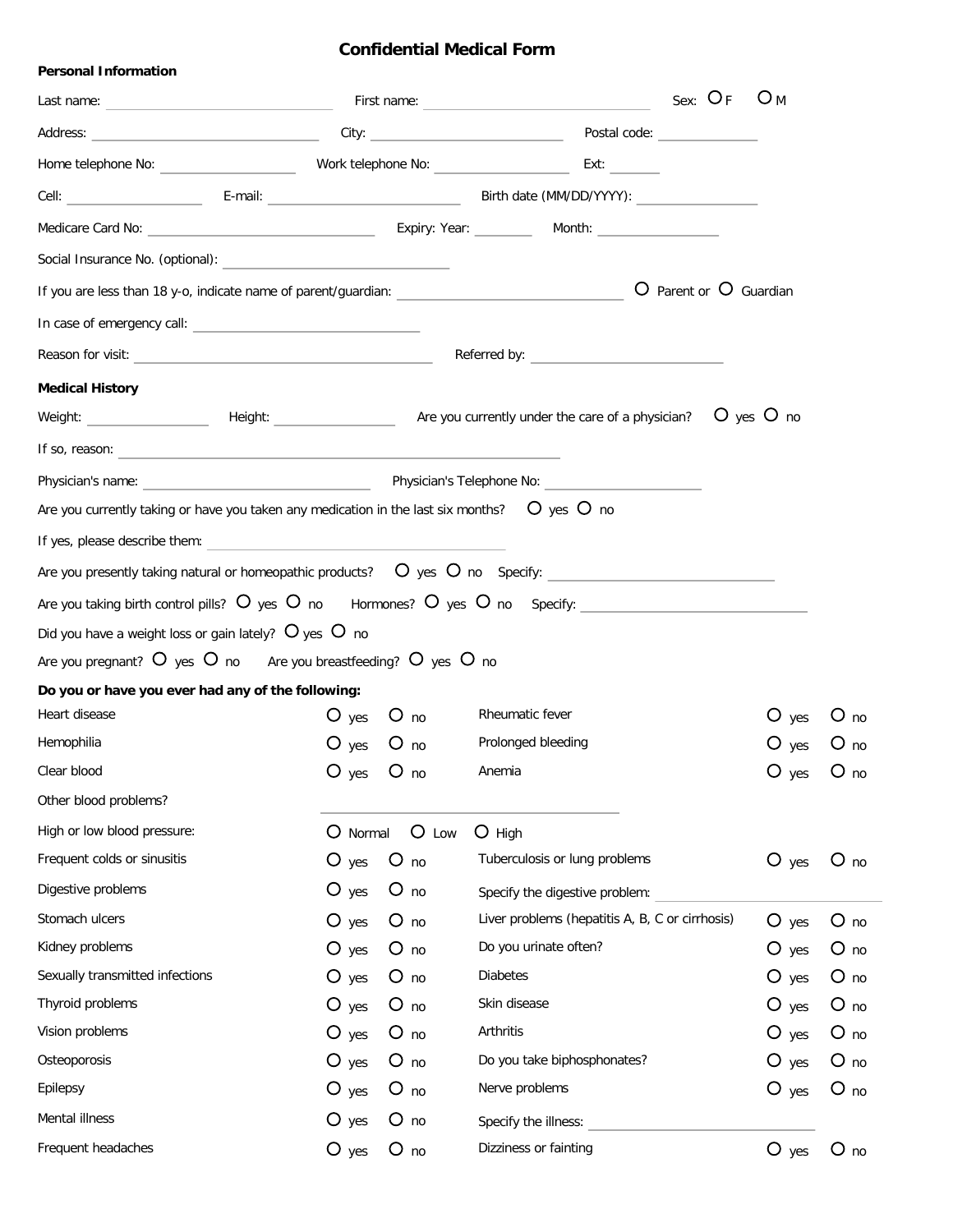## **Confidential Medical Form**

| <b>Personal Information</b>                                                                                                                                                                                                    |                    |                 |                                                                                                                                                                                                                                                                                                                                                                                                                                                                                          |                        |                 |
|--------------------------------------------------------------------------------------------------------------------------------------------------------------------------------------------------------------------------------|--------------------|-----------------|------------------------------------------------------------------------------------------------------------------------------------------------------------------------------------------------------------------------------------------------------------------------------------------------------------------------------------------------------------------------------------------------------------------------------------------------------------------------------------------|------------------------|-----------------|
|                                                                                                                                                                                                                                |                    |                 | $O_{M}$                                                                                                                                                                                                                                                                                                                                                                                                                                                                                  |                        |                 |
| Address: Call City: City: City: City: City: City: City: City: City: City: City: City: City: City: City: City: City: City: City: City: City: City: City: City: City: City: City: City: City: City: City: City: City: City: City |                    |                 | Postal code: New York Postal Code:                                                                                                                                                                                                                                                                                                                                                                                                                                                       |                        |                 |
|                                                                                                                                                                                                                                |                    |                 |                                                                                                                                                                                                                                                                                                                                                                                                                                                                                          |                        |                 |
|                                                                                                                                                                                                                                |                    |                 |                                                                                                                                                                                                                                                                                                                                                                                                                                                                                          |                        |                 |
|                                                                                                                                                                                                                                |                    |                 |                                                                                                                                                                                                                                                                                                                                                                                                                                                                                          |                        |                 |
|                                                                                                                                                                                                                                |                    |                 |                                                                                                                                                                                                                                                                                                                                                                                                                                                                                          |                        |                 |
|                                                                                                                                                                                                                                |                    |                 |                                                                                                                                                                                                                                                                                                                                                                                                                                                                                          | O Parent or O Guardian |                 |
|                                                                                                                                                                                                                                |                    |                 |                                                                                                                                                                                                                                                                                                                                                                                                                                                                                          |                        |                 |
| Reason for visit: New York State State State State State State State State State State State State State State State State State State State State State State State State State State State State State State State State Sta |                    |                 |                                                                                                                                                                                                                                                                                                                                                                                                                                                                                          |                        |                 |
|                                                                                                                                                                                                                                |                    |                 |                                                                                                                                                                                                                                                                                                                                                                                                                                                                                          |                        |                 |
| <b>Medical History</b>                                                                                                                                                                                                         |                    |                 |                                                                                                                                                                                                                                                                                                                                                                                                                                                                                          |                        |                 |
|                                                                                                                                                                                                                                |                    |                 | Weight: $\begin{array}{ccccccccc}\n\text{Weight:} & \text{Height:} & \text{Area:} & \text{Area:} & \text{Area:} & \text{Area:} & \text{Area:} & \text{Area:} & \text{Area:} & \text{Area:} & \text{Area:} & \text{Area:} & \text{Area:} & \text{Area:} & \text{Area:} & \text{Area:} & \text{Area:} & \text{Area:} & \text{Area:} & \text{Area:} & \text{Area:} & \text{Area:} & \text{Area:} & \text{Area:} & \text{Area:} & \text{Area:} & \text{Area:} & \text{Area:} & \text{Area:}$ |                        |                 |
| If so, reason: $\qquad \qquad$                                                                                                                                                                                                 |                    |                 |                                                                                                                                                                                                                                                                                                                                                                                                                                                                                          |                        |                 |
|                                                                                                                                                                                                                                |                    |                 |                                                                                                                                                                                                                                                                                                                                                                                                                                                                                          |                        |                 |
| Are you currently taking or have you taken any medication in the last six months? $O$ yes $O$ no                                                                                                                               |                    |                 |                                                                                                                                                                                                                                                                                                                                                                                                                                                                                          |                        |                 |
|                                                                                                                                                                                                                                |                    |                 |                                                                                                                                                                                                                                                                                                                                                                                                                                                                                          |                        |                 |
|                                                                                                                                                                                                                                |                    |                 | Are you presently taking natural or homeopathic products? $\bullet$ yes $\bullet$ no Specify: $\text{S}$                                                                                                                                                                                                                                                                                                                                                                                 |                        |                 |
|                                                                                                                                                                                                                                |                    |                 | Are you taking birth control pills? O yes O no Hormones? O yes O no Specify: _________________________________                                                                                                                                                                                                                                                                                                                                                                           |                        |                 |
| Did you have a weight loss or gain lately? $O$ yes $O$ no                                                                                                                                                                      |                    |                 |                                                                                                                                                                                                                                                                                                                                                                                                                                                                                          |                        |                 |
| Are you pregnant? $O$ yes $O$ no Are you breastfeeding? $O$ yes $O$ no                                                                                                                                                         |                    |                 |                                                                                                                                                                                                                                                                                                                                                                                                                                                                                          |                        |                 |
| Do you or have you ever had any of the following:                                                                                                                                                                              |                    |                 |                                                                                                                                                                                                                                                                                                                                                                                                                                                                                          |                        |                 |
| Heart disease                                                                                                                                                                                                                  |                    | $O$ yes $O$ no  | Rheumatic fever                                                                                                                                                                                                                                                                                                                                                                                                                                                                          | $O$ yes                | $O_{\text{no}}$ |
| Hemophilia                                                                                                                                                                                                                     | $O$ yes $O$ no     |                 | Prolonged bleeding                                                                                                                                                                                                                                                                                                                                                                                                                                                                       | $O$ yes                | $O_{\text{no}}$ |
| Clear blood                                                                                                                                                                                                                    | $O$ yes            | $O_{\text{no}}$ | Anemia                                                                                                                                                                                                                                                                                                                                                                                                                                                                                   | $O$ yes                | $O_{\text{no}}$ |
| Other blood problems?                                                                                                                                                                                                          |                    |                 |                                                                                                                                                                                                                                                                                                                                                                                                                                                                                          |                        |                 |
| High or low blood pressure:                                                                                                                                                                                                    | O Normal           | $O$ Low         | $O$ High                                                                                                                                                                                                                                                                                                                                                                                                                                                                                 |                        |                 |
| Frequent colds or sinusitis                                                                                                                                                                                                    | $O$ yes            | $O_{\text{no}}$ | Tuberculosis or lung problems                                                                                                                                                                                                                                                                                                                                                                                                                                                            | $O$ yes                | $O_{\text{no}}$ |
| Digestive problems                                                                                                                                                                                                             | $O$ yes            | $O_{\text{no}}$ | Specify the digestive problem:                                                                                                                                                                                                                                                                                                                                                                                                                                                           |                        |                 |
| Stomach ulcers                                                                                                                                                                                                                 | $\overline{O}$ yes | $O$ no          | Liver problems (hepatitis A, B, C or cirrhosis)                                                                                                                                                                                                                                                                                                                                                                                                                                          | $\bigcirc$ yes         | $O$ no          |
| Kidney problems                                                                                                                                                                                                                | $\overline{O}$ yes | $O$ no          | Do you urinate often?                                                                                                                                                                                                                                                                                                                                                                                                                                                                    | $O$ yes                | $O$ no          |
| Sexually transmitted infections                                                                                                                                                                                                | $\overline{O}$ yes | $O$ no          | <b>Diabetes</b>                                                                                                                                                                                                                                                                                                                                                                                                                                                                          | $O$ yes                | $O_{\text{no}}$ |
| Thyroid problems                                                                                                                                                                                                               | $\overline{O}$ yes | $O$ no          | Skin disease                                                                                                                                                                                                                                                                                                                                                                                                                                                                             | $O$ yes                | $O_{\text{no}}$ |
| Vision problems                                                                                                                                                                                                                | $\overline{O}$ yes | $O_{\text{no}}$ | Arthritis                                                                                                                                                                                                                                                                                                                                                                                                                                                                                | $O$ yes                | $O_{\text{no}}$ |
| Osteoporosis                                                                                                                                                                                                                   | $O$ yes            | $O_{\text{no}}$ | Do you take biphosphonates?                                                                                                                                                                                                                                                                                                                                                                                                                                                              | $O$ yes                | $O_{\text{no}}$ |
| Epilepsy                                                                                                                                                                                                                       | $O$ yes            | $O_{\text{no}}$ | Nerve problems                                                                                                                                                                                                                                                                                                                                                                                                                                                                           | $O$ yes                | $O_{\text{no}}$ |
| Mental illness                                                                                                                                                                                                                 | $O$ yes            | $O$ no          | Specify the illness:                                                                                                                                                                                                                                                                                                                                                                                                                                                                     |                        |                 |
| Frequent headaches                                                                                                                                                                                                             | $O$ yes            | $O$ no          | Dizziness or fainting                                                                                                                                                                                                                                                                                                                                                                                                                                                                    | $O$ yes                | $O_{\text{no}}$ |